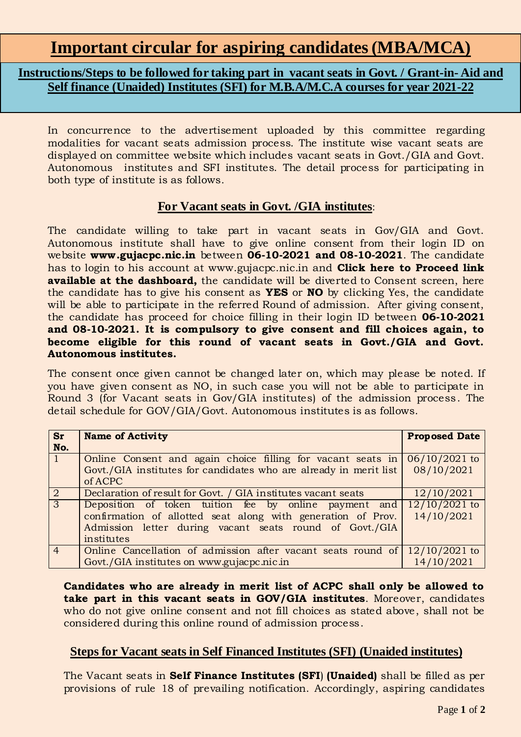## **Instructions/Steps to be followed for taking part in vacant seats in Govt. / Grant-in- Aid and Self finance (Unaided) Institutes (SFI) for M.B.A/M.C.A courses for year 2021-22**

In concurrence to the advertisement uploaded by this committee regarding modalities for vacant seats admission process. The institute wise vacant seats are displayed on committee website which includes vacant seats in Govt./GIA and Govt. Autonomous institutes and SFI institutes. The detail process for participating in both type of institute is as follows.

## **For Vacant seats in Govt. /GIA institutes**:

The candidate willing to take part in vacant seats in Gov/GIA and Govt. Autonomous institute shall have to give online consent from their login ID on website **www.gujacpc.nic.in** between **06-10-2021 and 08-10-2021**. The candidate has to login to his account at www.gujacpc.nic.in and **Click here to Proceed link available at the dashboard,** the candidate will be diverted to Consent screen, here the candidate has to give his consent as **YES** or **NO** by clicking Yes, the candidate will be able to participate in the referred Round of admission. After giving consent, the candidate has proceed for choice filling in their login ID between **06-10-2021 and 08-10-2021. It is compulsory to give consent and fill choices again, to become eligible for this round of vacant seats in Govt./GIA and Govt. Autonomous institutes.**

The consent once given cannot be changed later on, which may please be noted. If you have given consent as NO, in such case you will not be able to participate in Round 3 (for Vacant seats in Gov/GIA institutes) of the admission process. The detail schedule for GOV/GIA/Govt. Autonomous institutes is as follows.

| <b>Sr</b><br>No. | <b>Name of Activity</b>                                                                                                                                                                        | <b>Proposed Date</b>          |
|------------------|------------------------------------------------------------------------------------------------------------------------------------------------------------------------------------------------|-------------------------------|
|                  | Online Consent and again choice filling for vacant seats in $\frac{106}{10/2021}$ to<br>Govt./GIA institutes for candidates who are already in merit list<br>of ACPC                           | 08/10/2021                    |
| $\overline{2}$   | Declaration of result for Govt. / GIA institutes vacant seats                                                                                                                                  | 12/10/2021                    |
| $\overline{3}$   | Deposition of token tuition fee by online payment and<br>confirmation of allotted seat along with generation of Prov.<br>Admission letter during vacant seats round of Govt./GIA<br>institutes | $12/10/2021$ to<br>14/10/2021 |
| $\overline{4}$   | Online Cancellation of admission after vacant seats round of<br>Govt./GIA institutes on www.gujacpc.nic.in                                                                                     | $12/10/2021$ to<br>14/10/2021 |

**Candidates who are already in merit list of ACPC shall only be allowed to take part in this vacant seats in GOV/GIA institutes**. Moreover, candidates who do not give online consent and not fill choices as stated above, shall not be considered during this online round of admission process.

## **Steps for Vacant seats in Self Financed Institutes (SFI) (Unaided institutes)**

The Vacant seats in **Self Finance Institutes (SFI**) **(Unaided)** shall be filled as per provisions of rule 18 of prevailing notification. Accordingly, aspiring candidates